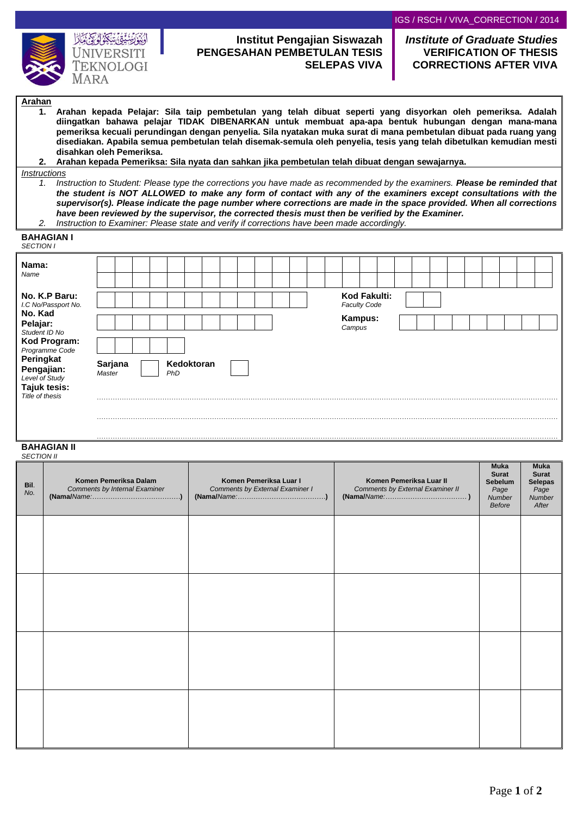

# **Institut Pengajian Siswazah PENGESAHAN PEMBETULAN TESIS SELEPAS VIVA**

## *Institute of Graduate Studies* **VERIFICATION OF THESIS CORRECTIONS AFTER VIVA**

### **Arahan**

- **1. Arahan kepada Pelajar: Sila taip pembetulan yang telah dibuat seperti yang disyorkan oleh pemeriksa. Adalah diingatkan bahawa pelajar TIDAK DIBENARKAN untuk membuat apa-apa bentuk hubungan dengan mana-mana pemeriksa kecuali perundingan dengan penyelia. Sila nyatakan muka surat di mana pembetulan dibuat pada ruang yang disediakan. Apabila semua pembetulan telah disemak-semula oleh penyelia, tesis yang telah dibetulkan kemudian mesti disahkan oleh Pemeriksa.**
- **2. Arahan kepada Pemeriksa: Sila nyata dan sahkan jika pembetulan telah dibuat dengan sewajarnya.**

#### *Instructions*

- *1. Instruction to Student: Please type the corrections you have made as recommended by the examiners. Please be reminded that the student is NOT ALLOWED to make any form of contact with any of the examiners except consultations with the supervisor(s). Please indicate the page number where corrections are made in the space provided. When all corrections have been reviewed by the supervisor, the corrected thesis must then be verified by the Examiner.*
- *2. Instruction to Examiner: Please state and verify if corrections have been made accordingly.*

| <b>BAHAGIAN I</b><br><b>SECTION I</b>       |                                        |
|---------------------------------------------|----------------------------------------|
| Nama:<br>Name                               |                                        |
| No. K.P Baru:<br>I.C No/Passport No.        | Kod Fakulti:<br><b>Faculty Code</b>    |
| No. Kad<br>Pelajar:<br>Student ID No        | Kampus:<br>Campus                      |
| Kod Program:<br>Programme Code<br>Peringkat |                                        |
| Pengajian:<br>Level of Study                | Kedoktoran<br>Sarjana<br>Master<br>PhD |
| Tajuk tesis:<br>Title of thesis             |                                        |
|                                             |                                        |

……………………………………………………………………………………………………………………………………………………………………………………

#### **BAHAGIAN II** *SECTION II*

| Bil.<br>No. | Komen Pemeriksa Dalam<br>Comments by Internal Examiner | Komen Pemeriksa Luar I<br>Comments by External Examiner I | Komen Pemeriksa Luar II<br>Comments by External Examiner II<br>$(Nama/Name \n \n \n )$ | Muka<br><b>Surat</b><br>Sebelum<br>Page<br>Number<br><b>Before</b> | <b>Muka</b><br><b>Surat</b><br><b>Selepas</b><br>Page<br>Number<br>After |
|-------------|--------------------------------------------------------|-----------------------------------------------------------|----------------------------------------------------------------------------------------|--------------------------------------------------------------------|--------------------------------------------------------------------------|
|             |                                                        |                                                           |                                                                                        |                                                                    |                                                                          |
|             |                                                        |                                                           |                                                                                        |                                                                    |                                                                          |
|             |                                                        |                                                           |                                                                                        |                                                                    |                                                                          |
|             |                                                        |                                                           |                                                                                        |                                                                    |                                                                          |